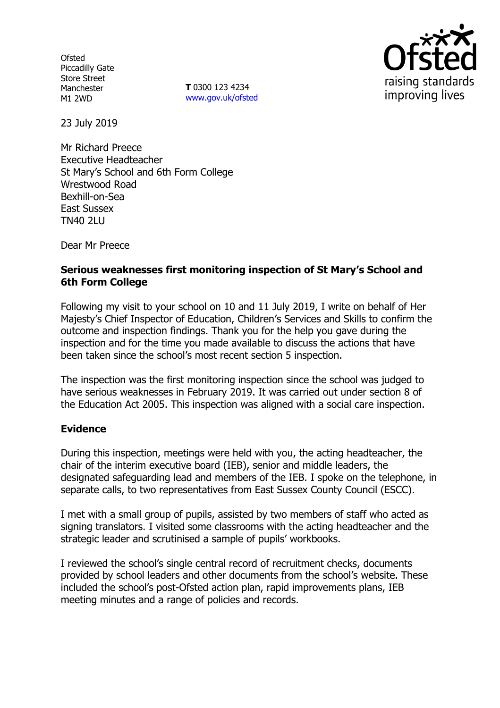**Ofsted** Piccadilly Gate Store Street Manchester M1 2WD

**T** 0300 123 4234 www.gov.uk/ofsted



23 July 2019

Mr Richard Preece Executive Headteacher St Mary's School and 6th Form College Wrestwood Road Bexhill-on-Sea East Sussex TN40 2LU

Dear Mr Preece

## **Serious weaknesses first monitoring inspection of St Mary's School and 6th Form College**

Following my visit to your school on 10 and 11 July 2019, I write on behalf of Her Majesty's Chief Inspector of Education, Children's Services and Skills to confirm the outcome and inspection findings. Thank you for the help you gave during the inspection and for the time you made available to discuss the actions that have been taken since the school's most recent section 5 inspection.

The inspection was the first monitoring inspection since the school was judged to have serious weaknesses in February 2019. It was carried out under section 8 of the Education Act 2005. This inspection was aligned with a social care inspection.

## **Evidence**

During this inspection, meetings were held with you, the acting headteacher, the chair of the interim executive board (IEB), senior and middle leaders, the designated safeguarding lead and members of the IEB. I spoke on the telephone, in separate calls, to two representatives from East Sussex County Council (ESCC).

I met with a small group of pupils, assisted by two members of staff who acted as signing translators. I visited some classrooms with the acting headteacher and the strategic leader and scrutinised a sample of pupils' workbooks.

I reviewed the school's single central record of recruitment checks, documents provided by school leaders and other documents from the school's website. These included the school's post-Ofsted action plan, rapid improvements plans, IEB meeting minutes and a range of policies and records.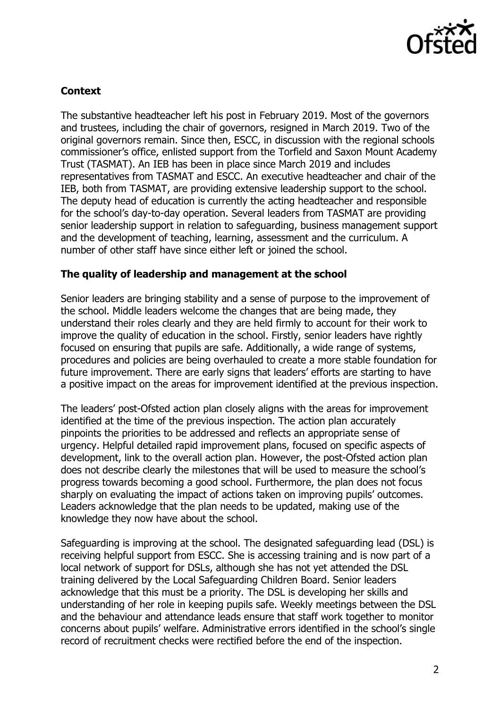

## **Context**

The substantive headteacher left his post in February 2019. Most of the governors and trustees, including the chair of governors, resigned in March 2019. Two of the original governors remain. Since then, ESCC, in discussion with the regional schools commissioner's office, enlisted support from the Torfield and Saxon Mount Academy Trust (TASMAT). An IEB has been in place since March 2019 and includes representatives from TASMAT and ESCC. An executive headteacher and chair of the IEB, both from TASMAT, are providing extensive leadership support to the school. The deputy head of education is currently the acting headteacher and responsible for the school's day-to-day operation. Several leaders from TASMAT are providing senior leadership support in relation to safeguarding, business management support and the development of teaching, learning, assessment and the curriculum. A number of other staff have since either left or joined the school.

## **The quality of leadership and management at the school**

Senior leaders are bringing stability and a sense of purpose to the improvement of the school. Middle leaders welcome the changes that are being made, they understand their roles clearly and they are held firmly to account for their work to improve the quality of education in the school. Firstly, senior leaders have rightly focused on ensuring that pupils are safe. Additionally, a wide range of systems, procedures and policies are being overhauled to create a more stable foundation for future improvement. There are early signs that leaders' efforts are starting to have a positive impact on the areas for improvement identified at the previous inspection.

The leaders' post-Ofsted action plan closely aligns with the areas for improvement identified at the time of the previous inspection. The action plan accurately pinpoints the priorities to be addressed and reflects an appropriate sense of urgency. Helpful detailed rapid improvement plans, focused on specific aspects of development, link to the overall action plan. However, the post-Ofsted action plan does not describe clearly the milestones that will be used to measure the school's progress towards becoming a good school. Furthermore, the plan does not focus sharply on evaluating the impact of actions taken on improving pupils' outcomes. Leaders acknowledge that the plan needs to be updated, making use of the knowledge they now have about the school.

Safeguarding is improving at the school. The designated safeguarding lead (DSL) is receiving helpful support from ESCC. She is accessing training and is now part of a local network of support for DSLs, although she has not yet attended the DSL training delivered by the Local Safeguarding Children Board. Senior leaders acknowledge that this must be a priority. The DSL is developing her skills and understanding of her role in keeping pupils safe. Weekly meetings between the DSL and the behaviour and attendance leads ensure that staff work together to monitor concerns about pupils' welfare. Administrative errors identified in the school's single record of recruitment checks were rectified before the end of the inspection.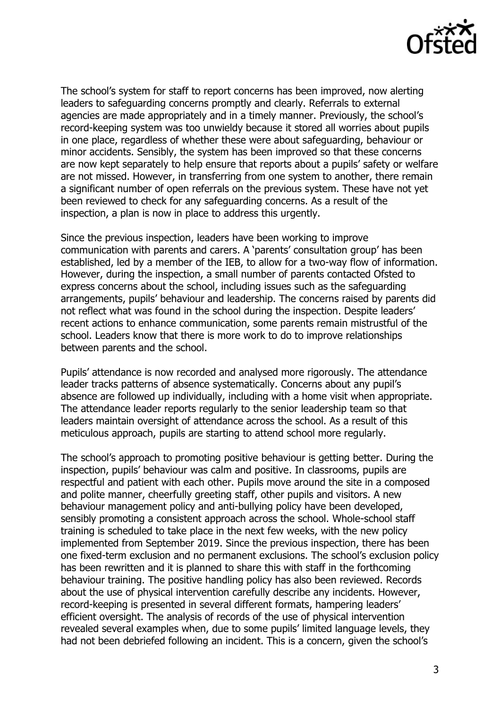

The school's system for staff to report concerns has been improved, now alerting leaders to safeguarding concerns promptly and clearly. Referrals to external agencies are made appropriately and in a timely manner. Previously, the school's record-keeping system was too unwieldy because it stored all worries about pupils in one place, regardless of whether these were about safeguarding, behaviour or minor accidents. Sensibly, the system has been improved so that these concerns are now kept separately to help ensure that reports about a pupils' safety or welfare are not missed. However, in transferring from one system to another, there remain a significant number of open referrals on the previous system. These have not yet been reviewed to check for any safeguarding concerns. As a result of the inspection, a plan is now in place to address this urgently.

Since the previous inspection, leaders have been working to improve communication with parents and carers. A 'parents' consultation group' has been established, led by a member of the IEB, to allow for a two-way flow of information. However, during the inspection, a small number of parents contacted Ofsted to express concerns about the school, including issues such as the safeguarding arrangements, pupils' behaviour and leadership. The concerns raised by parents did not reflect what was found in the school during the inspection. Despite leaders' recent actions to enhance communication, some parents remain mistrustful of the school. Leaders know that there is more work to do to improve relationships between parents and the school.

Pupils' attendance is now recorded and analysed more rigorously. The attendance leader tracks patterns of absence systematically. Concerns about any pupil's absence are followed up individually, including with a home visit when appropriate. The attendance leader reports regularly to the senior leadership team so that leaders maintain oversight of attendance across the school. As a result of this meticulous approach, pupils are starting to attend school more regularly.

The school's approach to promoting positive behaviour is getting better. During the inspection, pupils' behaviour was calm and positive. In classrooms, pupils are respectful and patient with each other. Pupils move around the site in a composed and polite manner, cheerfully greeting staff, other pupils and visitors. A new behaviour management policy and anti-bullying policy have been developed, sensibly promoting a consistent approach across the school. Whole-school staff training is scheduled to take place in the next few weeks, with the new policy implemented from September 2019. Since the previous inspection, there has been one fixed-term exclusion and no permanent exclusions. The school's exclusion policy has been rewritten and it is planned to share this with staff in the forthcoming behaviour training. The positive handling policy has also been reviewed. Records about the use of physical intervention carefully describe any incidents. However, record-keeping is presented in several different formats, hampering leaders' efficient oversight. The analysis of records of the use of physical intervention revealed several examples when, due to some pupils' limited language levels, they had not been debriefed following an incident. This is a concern, given the school's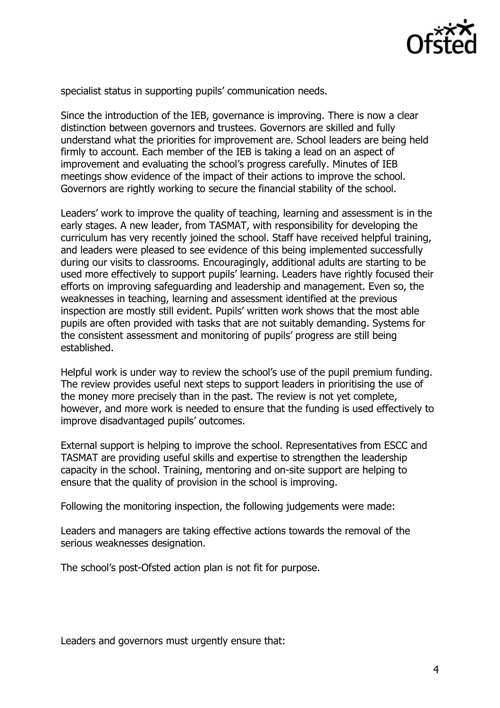

specialist status in supporting pupils' communication needs.

Since the introduction of the IEB, governance is improving. There is now a clear distinction between governors and trustees. Governors are skilled and fully understand what the priorities for improvement are. School leaders are being held firmly to account. Each member of the IEB is taking a lead on an aspect of improvement and evaluating the school's progress carefully. Minutes of IEB meetings show evidence of the impact of their actions to improve the school. Governors are rightly working to secure the financial stability of the school.

Leaders' work to improve the quality of teaching, learning and assessment is in the early stages. A new leader, from TASMAT, with responsibility for developing the curriculum has very recently joined the school. Staff have received helpful training, and leaders were pleased to see evidence of this being implemented successfully during our visits to classrooms. Encouragingly, additional adults are starting to be used more effectively to support pupils' learning. Leaders have rightly focused their efforts on improving safeguarding and leadership and management. Even so, the weaknesses in teaching, learning and assessment identified at the previous inspection are mostly still evident. Pupils' written work shows that the most able pupils are often provided with tasks that are not suitably demanding. Systems for the consistent assessment and monitoring of pupils' progress are still being established.

Helpful work is under way to review the school's use of the pupil premium funding. The review provides useful next steps to support leaders in prioritising the use of the money more precisely than in the past. The review is not yet complete, however, and more work is needed to ensure that the funding is used effectively to improve disadvantaged pupils' outcomes.

External support is helping to improve the school. Representatives from ESCC and TASMAT are providing useful skills and expertise to strengthen the leadership capacity in the school. Training, mentoring and on-site support are helping to ensure that the quality of provision in the school is improving.

Following the monitoring inspection, the following judgements were made:

Leaders and managers are taking effective actions towards the removal of the serious weaknesses designation.

The school's post-Ofsted action plan is not fit for purpose.

Leaders and governors must urgently ensure that: